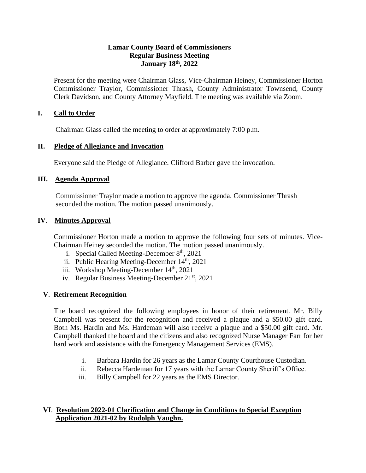#### **Lamar County Board of Commissioners Regular Business Meeting January 18th, 2022**

Present for the meeting were Chairman Glass, Vice-Chairman Heiney, Commissioner Horton Commissioner Traylor, Commissioner Thrash, County Administrator Townsend, County Clerk Davidson, and County Attorney Mayfield. The meeting was available via Zoom.

## **I. Call to Order**

Chairman Glass called the meeting to order at approximately 7:00 p.m.

#### **II. Pledge of Allegiance and Invocation**

Everyone said the Pledge of Allegiance. Clifford Barber gave the invocation.

#### **III. Agenda Approval**

Commissioner Traylor made a motion to approve the agenda. Commissioner Thrash seconded the motion. The motion passed unanimously.

#### **IV**. **Minutes Approval**

Commissioner Horton made a motion to approve the following four sets of minutes. Vice-Chairman Heiney seconded the motion. The motion passed unanimously.

- i. Special Called Meeting-December  $8<sup>th</sup>$ , 2021
- ii. Public Hearing Meeting-December 14<sup>th</sup>, 2021
- iii. Workshop Meeting-December  $14<sup>th</sup>$ , 2021
- iv. Regular Business Meeting-December 21<sup>st</sup>, 2021

## **V**. **Retirement Recognition**

 The board recognized the following employees in honor of their retirement. Mr. Billy Campbell was present for the recognition and received a plaque and a \$50.00 gift card. Both Ms. Hardin and Ms. Hardeman will also receive a plaque and a \$50.00 gift card. Mr. Campbell thanked the board and the citizens and also recognized Nurse Manager Farr for her hard work and assistance with the Emergency Management Services (EMS).

- i. Barbara Hardin for 26 years as the Lamar County Courthouse Custodian.
- ii. Rebecca Hardeman for 17 years with the Lamar County Sheriff's Office.
- iii. Billy Campbell for 22 years as the EMS Director.

## **VI**. **Resolution 2022-01 Clarification and Change in Conditions to Special Exception Application 2021-02 by Rudolph Vaughn.**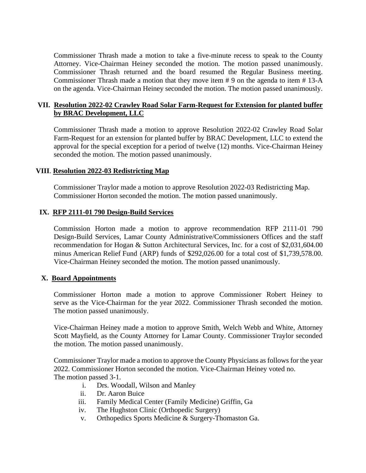Commissioner Thrash made a motion to take a five-minute recess to speak to the County Attorney. Vice-Chairman Heiney seconded the motion. The motion passed unanimously. Commissioner Thrash returned and the board resumed the Regular Business meeting. Commissioner Thrash made a motion that they move item # 9 on the agenda to item # 13-A on the agenda. Vice-Chairman Heiney seconded the motion. The motion passed unanimously.

## **VII. Resolution 2022-02 Crawley Road Solar Farm-Request for Extension for planted buffer by BRAC Development, LLC**

Commissioner Thrash made a motion to approve Resolution 2022-02 Crawley Road Solar Farm-Request for an extension for planted buffer by BRAC Development, LLC to extend the approval for the special exception for a period of twelve (12) months. Vice-Chairman Heiney seconded the motion. The motion passed unanimously.

#### **VIII**. **Resolution 2022-03 Redistricting Map**

 Commissioner Traylor made a motion to approve Resolution 2022-03 Redistricting Map. Commissioner Horton seconded the motion. The motion passed unanimously.

#### **IX. RFP 2111-01 790 Design-Build Services**

 Commission Horton made a motion to approve recommendation RFP 2111-01 790 Design-Build Services, Lamar County Administrative/Commissioners Offices and the staff recommendation for Hogan & Sutton Architectural Services, Inc. for a cost of \$2,031,604.00 minus American Relief Fund (ARP) funds of \$292,026.00 for a total cost of \$1,739,578.00. Vice-Chairman Heiney seconded the motion. The motion passed unanimously.

#### **X. Board Appointments**

Commissioner Horton made a motion to approve Commissioner Robert Heiney to serve as the Vice-Chairman for the year 2022. Commissioner Thrash seconded the motion. The motion passed unanimously.

Vice-Chairman Heiney made a motion to approve Smith, Welch Webb and White, Attorney Scott Mayfield, as the County Attorney for Lamar County. Commissioner Traylor seconded the motion. The motion passed unanimously.

Commissioner Traylor made a motion to approve the County Physicians as follows for the year 2022. Commissioner Horton seconded the motion. Vice-Chairman Heiney voted no. The motion passed 3-1.

- i. Drs. Woodall, Wilson and Manley
- ii. Dr. Aaron Buice
- iii. Family Medical Center (Family Medicine) Griffin, Ga
- iv. The Hughston Clinic (Orthopedic Surgery)
- v. Orthopedics Sports Medicine & Surgery-Thomaston Ga.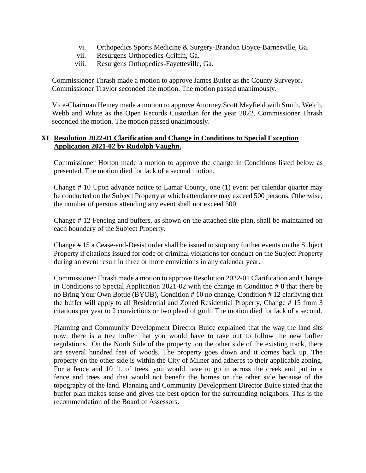- vi. Orthopedics Sports Medicine & Surgery-Brandon Boyce-Barnesville, Ga.
- vii. Resurgens Orthopedics-Griffin, Ga.
- viii. Resurgens Orthopedics-Fayetteville, Ga.

 Commissioner Thrash made a motion to approve James Butler as the County Surveyor. Commissioner Traylor seconded the motion. The motion passed unanimously.

 Vice-Chairman Heiney made a motion to approve Attorney Scott Mayfield with Smith, Welch, Webb and White as the Open Records Custodian for the year 2022. Commissioner Thrash seconded the motion. The motion passed unanimously.

#### **XI**. **Resolution 2022-01 Clarification and Change in Conditions to Special Exception Application 2021-02 by Rudolph Vaughn.**

Commissioner Horton made a motion to approve the change in Conditions listed below as presented. The motion died for lack of a second motion.

Change # 10 Upon advance notice to Lamar County, one (1) event per calendar quarter may be conducted on the Subject Property at which attendance may exceed 500 persons. Otherwise, the number of persons attending any event shall not exceed 500.

Change # 12 Fencing and buffers, as shown on the attached site plan, shall be maintained on each boundary of the Subject Property.

Change # 15 a Cease-and-Desist order shall be issued to stop any further events on the Subject Property if citations issued for code or criminal violations for conduct on the Subject Property during an event result in three or more convictions in any calendar year.

Commissioner Thrash made a motion to approve Resolution 2022-01 Clarification and Change in Conditions to Special Application 2021-02 with the change in Condition # 8 that there be no Bring Your Own Bottle (BYOB), Condition # 10 no change, Condition # 12 clarifying that the buffer will apply to all Residential and Zoned Residential Property, Change # 15 from 3 citations per year to 2 convictions or two plead of guilt. The motion died for lack of a second.

Planning and Community Development Director Buice explained that the way the land sits now, there is a tree buffer that you would have to take out to follow the new buffer regulations. On the North Side of the property, on the other side of the existing track, there are several hundred feet of woods. The property goes down and it comes back up. The property on the other side is within the City of Milner and adheres to their applicable zoning. For a fence and 10 ft. of trees, you would have to go in across the creek and put in a fence and trees and that would not benefit the homes on the other side because of the topography of the land. Planning and Community Development Director Buice stated that the buffer plan makes sense and gives the best option for the surrounding neighbors. This is the recommendation of the Board of Assessors.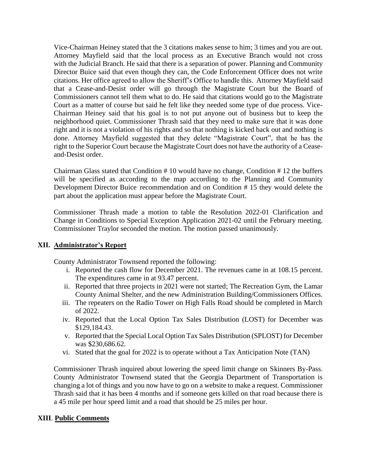Vice-Chairman Heiney stated that the 3 citations makes sense to him; 3 times and you are out. Attorney Mayfield said that the local process as an Executive Branch would not cross with the Judicial Branch. He said that there is a separation of power. Planning and Community Director Buice said that even though they can, the Code Enforcement Officer does not write citations. Her office agreed to allow the Sheriff's Office to handle this. Attorney Mayfield said that a Cease-and-Desist order will go through the Magistrate Court but the Board of Commissioners cannot tell them what to do. He said that citations would go to the Magistrate Court as a matter of course but said he felt like they needed some type of due process. Vice-Chairman Heiney said that his goal is to not put anyone out of business but to keep the neighborhood quiet. Commissioner Thrash said that they need to make sure that it was done right and it is not a violation of his rights and so that nothing is kicked back out and nothing is done. Attorney Mayfield suggested that they delete "Magistrate Court", that he has the right to the Superior Court because the Magistrate Court does not have the authority of a Ceaseand-Desist order.

Chairman Glass stated that Condition # 10 would have no change, Condition # 12 the buffers will be specified as according to the map according to the Planning and Community Development Director Buice recommendation and on Condition # 15 they would delete the part about the application must appear before the Magistrate Court.

Commissioner Thrash made a motion to table the Resolution 2022-01 Clarification and Change in Conditions to Special Exception Application 2021-02 until the February meeting. Commissioner Traylor seconded the motion. The motion passed unanimously.

## **XII. Administrator's Report**

County Administrator Townsend reported the following:

- i. Reported the cash flow for December 2021. The revenues came in at 108.15 percent. The expenditures came in at 93.47 percent.
- ii. Reported that three projects in 2021 were not started; The Recreation Gym, the Lamar County Animal Shelter, and the new Administration Building/Commissioners Offices.
- iii. The repeaters on the Radio Tower on High Falls Road should be completed in March of 2022.
- iv. Reported that the Local Option Tax Sales Distribution (LOST) for December was \$129,184.43.
- v. Reported that the Special Local Option Tax Sales Distribution (SPLOST) for December was \$230,686.62.
- vi. Stated that the goal for 2022 is to operate without a Tax Anticipation Note (TAN)

Commissioner Thrash inquired about lowering the speed limit change on Skinners By-Pass. County Administrator Townsend stated that the Georgia Department of Transportation is changing a lot of things and you now have to go on a website to make a request. Commissioner Thrash said that it has been 4 months and if someone gets killed on that road because there is a 45 mile per hour speed limit and a road that should be 25 miles per hour.

#### **XIII**. **Public Comments**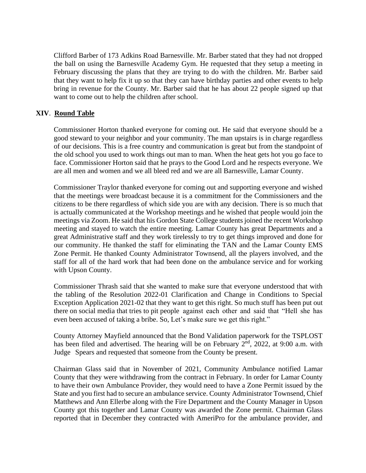Clifford Barber of 173 Adkins Road Barnesville. Mr. Barber stated that they had not dropped the ball on using the Barnesville Academy Gym. He requested that they setup a meeting in February discussing the plans that they are trying to do with the children. Mr. Barber said that they want to help fix it up so that they can have birthday parties and other events to help bring in revenue for the County. Mr. Barber said that he has about 22 people signed up that want to come out to help the children after school.

## **XIV**. **Round Table**

 Commissioner Horton thanked everyone for coming out. He said that everyone should be a good steward to your neighbor and your community. The man upstairs is in charge regardless of our decisions. This is a free country and communication is great but from the standpoint of the old school you used to work things out man to man. When the heat gets hot you go face to face. Commissioner Horton said that he prays to the Good Lord and he respects everyone. We are all men and women and we all bleed red and we are all Barnesville, Lamar County.

Commissioner Traylor thanked everyone for coming out and supporting everyone and wished that the meetings were broadcast because it is a commitment for the Commissioners and the citizens to be there regardless of which side you are with any decision. There is so much that is actually communicated at the Workshop meetings and he wished that people would join the meetings via Zoom. He said that his Gordon State College students joined the recent Workshop meeting and stayed to watch the entire meeting. Lamar County has great Departments and a great Administrative staff and they work tirelessly to try to get things improved and done for our community. He thanked the staff for eliminating the TAN and the Lamar County EMS Zone Permit. He thanked County Administrator Townsend, all the players involved, and the staff for all of the hard work that had been done on the ambulance service and for working with Upson County.

Commissioner Thrash said that she wanted to make sure that everyone understood that with the tabling of the Resolution 2022-01 Clarification and Change in Conditions to Special Exception Application 2021-02 that they want to get this right. So much stuff has been put out there on social media that tries to pit people against each other and said that "Hell she has even been accused of taking a bribe. So, Let's make sure we get this right."

County Attorney Mayfield announced that the Bond Validation paperwork for the TSPLOST has been filed and advertised. The hearing will be on February 2<sup>nd</sup>, 2022, at 9:00 a.m. with Judge Spears and requested that someone from the County be present.

Chairman Glass said that in November of 2021, Community Ambulance notified Lamar County that they were withdrawing from the contract in February. In order for Lamar County to have their own Ambulance Provider, they would need to have a Zone Permit issued by the State and you first had to secure an ambulance service. County Administrator Townsend, Chief Matthews and Ann Ellerbe along with the Fire Department and the County Manager in Upson County got this together and Lamar County was awarded the Zone permit. Chairman Glass reported that in December they contracted with AmeriPro for the ambulance provider, and